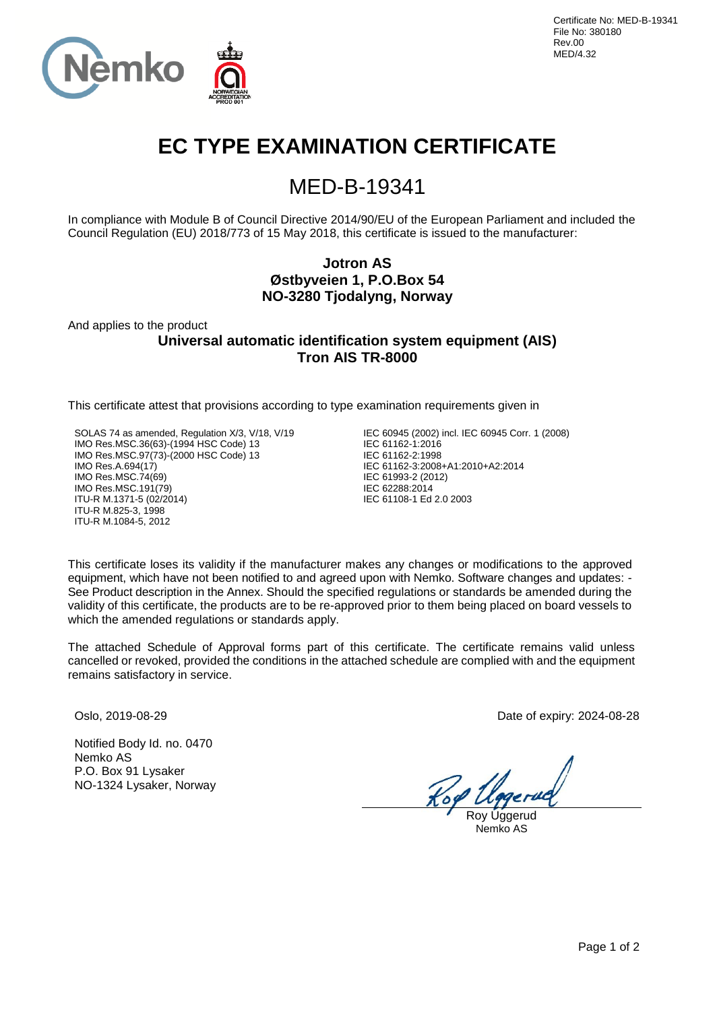

# **EC TYPE EXAMINATION CERTIFICATE**

## MED-B-19341

In compliance with Module B of Council Directive 2014/90/EU of the European Parliament and included the Council Regulation (EU) 2018/773 of 15 May 2018, this certificate is issued to the manufacturer:

## **Jotron AS Østbyveien 1, P.O.Box 54 NO-3280 Tjodalyng, Norway**

And applies to the product

**Universal automatic identification system equipment (AIS) Tron AIS TR-8000**

This certificate attest that provisions according to type examination requirements given in

SOLAS 74 as amended, Regulation X/3, V/18, V/19 IMO Res.MSC.36(63)-(1994 HSC Code) 13 IMO Res.MSC.97(73)-(2000 HSC Code) 13 IMO Res.A.694(17) IMO Res.MSC.74(69) IMO Res.MSC.191(79) ITU-R M.1371-5 (02/2014) ITU-R M.825-3, 1998 ITU-R M.1084-5, 2012

IEC 60945 (2002) incl. IEC 60945 Corr. 1 (2008) IEC 61162-1:2016 IEC 61162-2:1998 IEC 61162-3:2008+A1:2010+A2:2014 IEC 61993-2 (2012) IEC 62288:2014 IEC 61108-1 Ed 2.0 2003

This certificate loses its validity if the manufacturer makes any changes or modifications to the approved equipment, which have not been notified to and agreed upon with Nemko. Software changes and updates: - See Product description in the Annex. Should the specified regulations or standards be amended during the validity of this certificate, the products are to be re-approved prior to them being placed on board vessels to which the amended regulations or standards apply.

The attached Schedule of Approval forms part of this certificate. The certificate remains valid unless cancelled or revoked, provided the conditions in the attached schedule are complied with and the equipment remains satisfactory in service.

Notified Body Id. no. 0470 Nemko AS P.O. Box 91 Lysaker NO-1324 Lysaker, Norway

Oslo, 2019-08-29 Date of expiry: 2024-08-28

Roy Uggerud Nemko AS